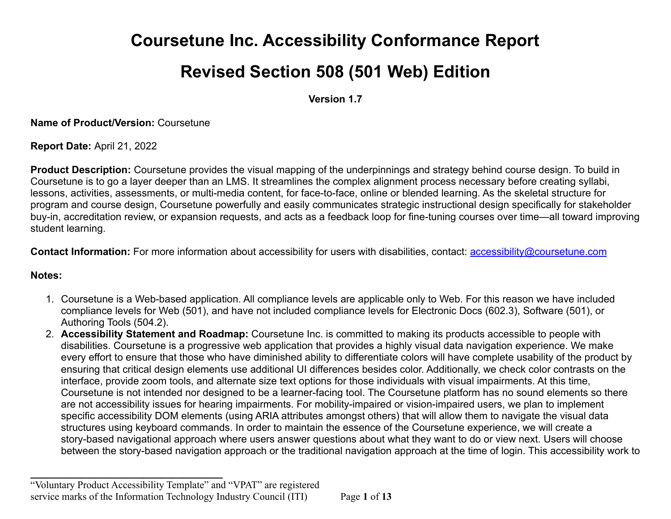# **Coursetune Inc. Accessibility Conformance Report**

# **Revised Section 508 (501 Web) Edition**

**Version 1.7**

**Name of Product/Version:** Coursetune

**Report Date:** April 21, 2022

**Product Description:** Coursetune provides the visual mapping of the underpinnings and strategy behind course design. To build in Coursetune is to go a layer deeper than an LMS. It streamlines the complex alignment process necessary before creating syllabi, lessons, activities, assessments, or multi-media content, for face-to-face, online or blended learning. As the skeletal structure for program and course design, Coursetune powerfully and easily communicates strategic instructional design specifically for stakeholder buy-in, accreditation review, or expansion requests, and acts as a feedback loop for fine-tuning courses over time—all toward improving student learning.

**Contact Information:** For more information about accessibility for users with disabilities, contact: **[accessibility@coursetune.com](mailto:accessibility@coursetune.com)** 

#### **Notes:**

- 1. Coursetune is a Web-based application. All compliance levels are applicable only to Web. For this reason we have included compliance levels for Web (501), and have not included compliance levels for Electronic Docs (602.3), Software (501), or Authoring Tools (504.2).
- 2. **Accessibility Statement and Roadmap:** Coursetune Inc. is committed to making its products accessible to people with disabilities. Coursetune is a progressive web application that provides a highly visual data navigation experience. We make every effort to ensure that those who have diminished ability to differentiate colors will have complete usability of the product by ensuring that critical design elements use additional UI differences besides color. Additionally, we check color contrasts on the interface, provide zoom tools, and alternate size text options for those individuals with visual impairments. At this time, Coursetune is not intended nor designed to be a learner-facing tool. The Coursetune platform has no sound elements so there are not accessibility issues for hearing impairments. For mobility-impaired or vision-impaired users, we plan to implement specific accessibility DOM elements (using ARIA attributes amongst others) that will allow them to navigate the visual data structures using keyboard commands. In order to maintain the essence of the Coursetune experience, we will create a story-based navigational approach where users answer questions about what they want to do or view next. Users will choose between the story-based navigation approach or the traditional navigation approach at the time of login. This accessibility work to

**\_\_\_\_\_\_\_\_\_\_\_\_\_\_\_\_\_\_\_\_\_\_\_\_\_\_\_\_\_\_\_\_\_\_**

<sup>&</sup>quot;Voluntary Product Accessibility Template" and "VPAT" are registered service marks of the Information Technology Industry Council (ITI) Page **1** of **13**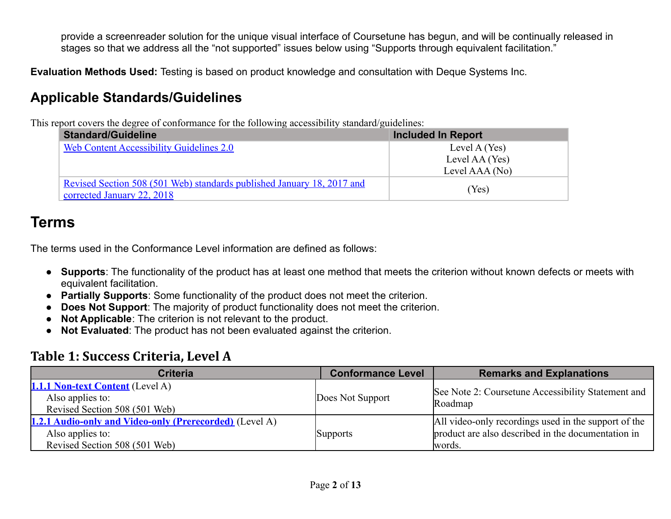provide a screenreader solution for the unique visual interface of Coursetune has begun, and will be continually released in stages so that we address all the "not supported" issues below using "Supports through equivalent facilitation."

**Evaluation Methods Used:** Testing is based on product knowledge and consultation with Deque Systems Inc.

#### **Applicable Standards/Guidelines**

This report covers the degree of conformance for the following accessibility standard/guidelines:

| . .<br><b>Standard/Guideline</b>                                       | <b>Included In Report</b> |
|------------------------------------------------------------------------|---------------------------|
| <b>Web Content Accessibility Guidelines 2.0</b>                        | Level A (Yes)             |
|                                                                        | Level AA (Yes)            |
|                                                                        | Level AAA (No)            |
| Revised Section 508 (501 Web) standards published January 18, 2017 and |                           |
| corrected January 22, 2018                                             | (Yes)                     |

## **Terms**

The terms used in the Conformance Level information are defined as follows:

- **Supports**: The functionality of the product has at least one method that meets the criterion without known defects or meets with equivalent facilitation.
- **Partially Supports**: Some functionality of the product does not meet the criterion.
- **Does Not Support**: The majority of product functionality does not meet the criterion.
- **Not Applicable**: The criterion is not relevant to the product.
- **Not Evaluated**: The product has not been evaluated against the criterion.

#### **Table 1: Success Criteria, Level A**

| <b>Criteria</b>                                                                                                     | <b>Conformance Level</b> | <b>Remarks and Explanations</b>                                                                                      |
|---------------------------------------------------------------------------------------------------------------------|--------------------------|----------------------------------------------------------------------------------------------------------------------|
| <b>1.1.1 Non-text Content</b> (Level A)<br>Also applies to:<br>Revised Section 508 (501 Web)                        | Does Not Support         | See Note 2: Coursetune Accessibility Statement and<br>Roadmap                                                        |
| <b>1.2.1 Audio-only and Video-only (Prerecorded)</b> (Level A)<br>Also applies to:<br>Revised Section 508 (501 Web) | <b>Supports</b>          | All video-only recordings used in the support of the<br>product are also described in the documentation in<br>words. |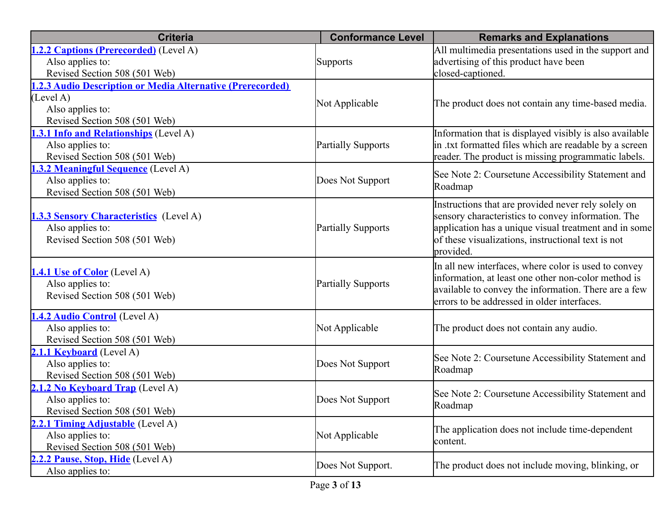| <b>Criteria</b>                                            | <b>Conformance Level</b>  | <b>Remarks and Explanations</b>                         |
|------------------------------------------------------------|---------------------------|---------------------------------------------------------|
| 1.2.2 Captions (Prerecorded) (Level A)                     |                           | All multimedia presentations used in the support and    |
| Also applies to:                                           | <b>Supports</b>           | advertising of this product have been                   |
| Revised Section 508 (501 Web)                              |                           | closed-captioned.                                       |
| 1.2.3 Audio Description or Media Alternative (Prerecorded) |                           |                                                         |
| (Level A)                                                  | Not Applicable            | The product does not contain any time-based media.      |
| Also applies to:                                           |                           |                                                         |
| Revised Section 508 (501 Web)                              |                           |                                                         |
| 1.3.1 Info and Relationships (Level A)                     |                           | Information that is displayed visibly is also available |
| Also applies to:                                           | <b>Partially Supports</b> | in txt formatted files which are readable by a screen   |
| Revised Section 508 (501 Web)                              |                           | reader. The product is missing programmatic labels.     |
| 1.3.2 Meaningful Sequence (Level A)                        |                           | See Note 2: Coursetune Accessibility Statement and      |
| Also applies to:                                           | Does Not Support          | Roadmap                                                 |
| Revised Section 508 (501 Web)                              |                           |                                                         |
|                                                            |                           | Instructions that are provided never rely solely on     |
| <b>1.3.3 Sensory Characteristics</b> (Level A)             |                           | sensory characteristics to convey information. The      |
| Also applies to:                                           | <b>Partially Supports</b> | application has a unique visual treatment and in some   |
| Revised Section 508 (501 Web)                              |                           | of these visualizations, instructional text is not      |
|                                                            |                           | provided.                                               |
| 1.4.1 Use of Color (Level A)                               |                           | In all new interfaces, where color is used to convey    |
| Also applies to:                                           | <b>Partially Supports</b> | information, at least one other non-color method is     |
| Revised Section 508 (501 Web)                              |                           | available to convey the information. There are a few    |
|                                                            |                           | errors to be addressed in older interfaces.             |
| 1.4.2 Audio Control (Level A)                              |                           |                                                         |
| Also applies to:                                           | Not Applicable            | The product does not contain any audio.                 |
| Revised Section 508 (501 Web)                              |                           |                                                         |
| 2.1.1 Keyboard (Level A)                                   |                           | See Note 2: Coursetune Accessibility Statement and      |
| Also applies to:                                           | Does Not Support          | Roadmap                                                 |
| Revised Section 508 (501 Web)                              |                           |                                                         |
| 2.1.2 No Keyboard Trap (Level A)                           |                           | See Note 2: Coursetune Accessibility Statement and      |
| Also applies to:                                           | Does Not Support          | Roadmap                                                 |
| Revised Section 508 (501 Web)                              |                           |                                                         |
| 2.2.1 Timing Adjustable (Level A)                          |                           | The application does not include time-dependent         |
| Also applies to:                                           | Not Applicable            | content.                                                |
| Revised Section 508 (501 Web)                              |                           |                                                         |
| 2.2.2 Pause, Stop, Hide (Level A)                          | Does Not Support.         | The product does not include moving, blinking, or       |
| Also applies to:                                           |                           |                                                         |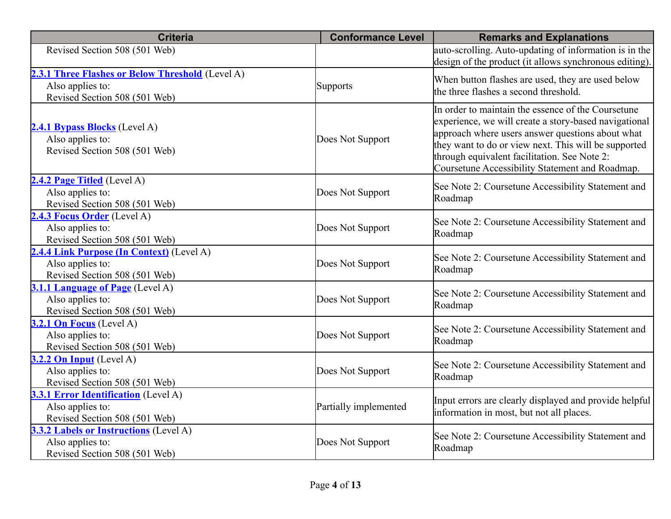| <b>Criteria</b>                                                                                       | <b>Conformance Level</b> | <b>Remarks and Explanations</b>                                                                                                                                                                                                                                                                                            |
|-------------------------------------------------------------------------------------------------------|--------------------------|----------------------------------------------------------------------------------------------------------------------------------------------------------------------------------------------------------------------------------------------------------------------------------------------------------------------------|
| Revised Section 508 (501 Web)                                                                         |                          | auto-scrolling. Auto-updating of information is in the<br>design of the product (it allows synchronous editing).                                                                                                                                                                                                           |
| 2.3.1 Three Flashes or Below Threshold (Level A)<br>Also applies to:<br>Revised Section 508 (501 Web) | <b>Supports</b>          | When button flashes are used, they are used below<br>the three flashes a second threshold.                                                                                                                                                                                                                                 |
| 2.4.1 Bypass Blocks (Level A)<br>Also applies to:<br>Revised Section 508 (501 Web)                    | Does Not Support         | In order to maintain the essence of the Coursetune<br>experience, we will create a story-based navigational<br>approach where users answer questions about what<br>they want to do or view next. This will be supported<br>through equivalent facilitation. See Note 2:<br>Coursetune Accessibility Statement and Roadmap. |
| 2.4.2 Page Titled (Level A)<br>Also applies to:<br>Revised Section 508 (501 Web)                      | Does Not Support         | See Note 2: Coursetune Accessibility Statement and<br>Roadmap                                                                                                                                                                                                                                                              |
| 2.4.3 Focus Order (Level A)<br>Also applies to:<br>Revised Section 508 (501 Web)                      | Does Not Support         | See Note 2: Coursetune Accessibility Statement and<br>Roadmap                                                                                                                                                                                                                                                              |
| 2.4.4 Link Purpose (In Context) (Level A)<br>Also applies to:<br>Revised Section 508 (501 Web)        | Does Not Support         | See Note 2: Coursetune Accessibility Statement and<br>Roadmap                                                                                                                                                                                                                                                              |
| 3.1.1 Language of Page (Level A)<br>Also applies to:<br>Revised Section 508 (501 Web)                 | Does Not Support         | See Note 2: Coursetune Accessibility Statement and<br>Roadmap                                                                                                                                                                                                                                                              |
| 3.2.1 On Focus (Level A)<br>Also applies to:<br>Revised Section 508 (501 Web)                         | Does Not Support         | See Note 2: Coursetune Accessibility Statement and<br>Roadmap                                                                                                                                                                                                                                                              |
| 3.2.2 On Input (Level A)<br>Also applies to:<br>Revised Section 508 (501 Web)                         | Does Not Support         | See Note 2: Coursetune Accessibility Statement and<br>Roadmap                                                                                                                                                                                                                                                              |
| 3.3.1 Error Identification (Level A)<br>Also applies to:<br>Revised Section 508 (501 Web)             | Partially implemented    | Input errors are clearly displayed and provide helpful<br>information in most, but not all places.                                                                                                                                                                                                                         |
| 3.3.2 Labels or Instructions (Level A)<br>Also applies to:<br>Revised Section 508 (501 Web)           | Does Not Support         | See Note 2: Coursetune Accessibility Statement and<br>Roadmap                                                                                                                                                                                                                                                              |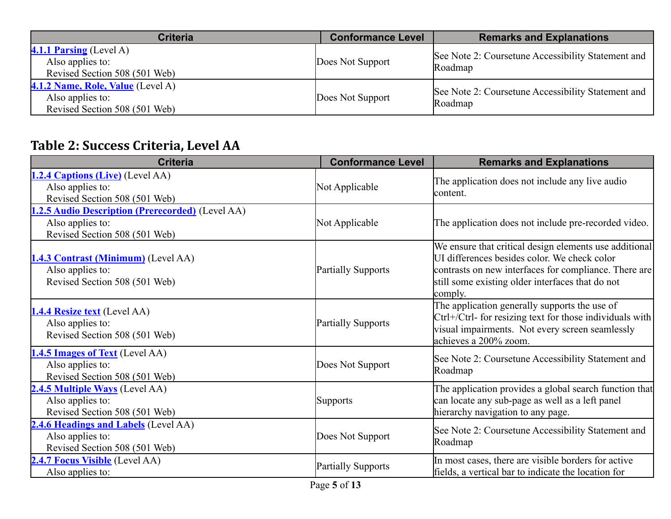| <b>Criteria</b>                                                                        | <b>Conformance Level</b> | <b>Remarks and Explanations</b>                               |
|----------------------------------------------------------------------------------------|--------------------------|---------------------------------------------------------------|
| <b>4.1.1 Parsing</b> (Level A)<br>Also applies to:<br>Revised Section 508 (501 Web)    | Does Not Support         | See Note 2: Coursetune Accessibility Statement and<br>Roadmap |
| 4.1.2 Name, Role, Value (Level A)<br>Also applies to:<br>Revised Section 508 (501 Web) | Does Not Support         | See Note 2: Coursetune Accessibility Statement and<br>Roadmap |

## **Table 2: Success Criteria, Level AA**

| <b>Criteria</b>                                                                                              | <b>Conformance Level</b>                                        | <b>Remarks and Explanations</b>                                                                                                                                                                                                |
|--------------------------------------------------------------------------------------------------------------|-----------------------------------------------------------------|--------------------------------------------------------------------------------------------------------------------------------------------------------------------------------------------------------------------------------|
| 1.2.4 Captions (Live) (Level AA)<br>Also applies to:<br>Revised Section 508 (501 Web)                        | Not Applicable                                                  | The application does not include any live audio<br>lcontent.                                                                                                                                                                   |
| <b>1.2.5 Audio Description (Prerecorded)</b> (Level AA)<br>Also applies to:<br>Revised Section 508 (501 Web) | Not Applicable                                                  | The application does not include pre-recorded video.                                                                                                                                                                           |
| 1.4.3 Contrast (Minimum) (Level AA)<br>Also applies to:<br>Revised Section 508 (501 Web)                     | <b>Partially Supports</b>                                       | We ensure that critical design elements use additional<br>UI differences besides color. We check color<br>contrasts on new interfaces for compliance. There are<br>still some existing older interfaces that do not<br>comply. |
| <b>1.4.4 Resize text</b> (Level AA)<br>Also applies to:<br>Revised Section 508 (501 Web)                     | <b>Partially Supports</b>                                       | The application generally supports the use of<br>Ctrl+/Ctrl- for resizing text for those individuals with<br>visual impairments. Not every screen seamlessly<br>achieves a 200% zoom.                                          |
| 1.4.5 Images of Text (Level AA)<br>Also applies to:<br>Revised Section 508 (501 Web)                         | Does Not Support                                                | See Note 2: Coursetune Accessibility Statement and<br>Roadmap                                                                                                                                                                  |
| 2.4.5 Multiple Ways (Level AA)<br>Also applies to:<br>Revised Section 508 (501 Web)                          | <b>Supports</b>                                                 | The application provides a global search function that<br>can locate any sub-page as well as a left panel<br>hierarchy navigation to any page.                                                                                 |
| 2.4.6 Headings and Labels (Level AA)<br>Also applies to:<br>Revised Section 508 (501 Web)                    | Does Not Support                                                | See Note 2: Coursetune Accessibility Statement and<br>Roadmap                                                                                                                                                                  |
| 2.4.7 Focus Visible (Level AA)<br>Also applies to:                                                           | <b>Partially Supports</b><br>$\mathbf{r}$ $\mathbf{r}$ $\alpha$ | In most cases, there are visible borders for active<br>fields, a vertical bar to indicate the location for                                                                                                                     |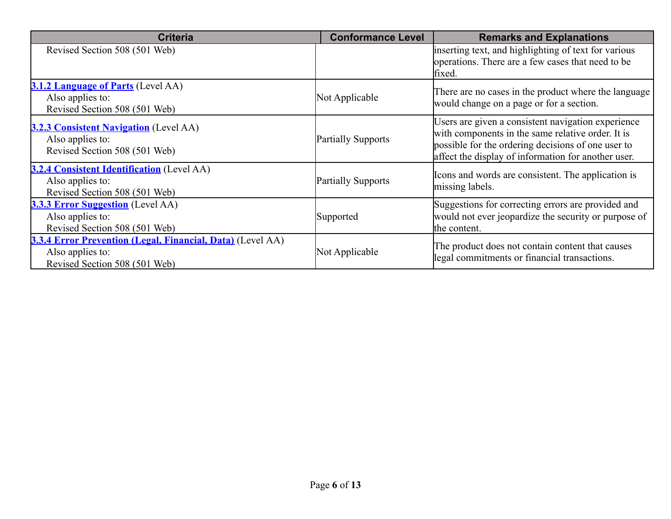| <b>Criteria</b>                                                                                                        | <b>Conformance Level</b>  | <b>Remarks and Explanations</b>                                                                                                                                                                                      |
|------------------------------------------------------------------------------------------------------------------------|---------------------------|----------------------------------------------------------------------------------------------------------------------------------------------------------------------------------------------------------------------|
| Revised Section 508 (501 Web)                                                                                          |                           | inserting text, and highlighting of text for various<br>operations. There are a few cases that need to be<br>fixed.                                                                                                  |
| <b>3.1.2 Language of Parts</b> (Level AA)<br>Also applies to:<br>Revised Section 508 (501 Web)                         | Not Applicable            | There are no cases in the product where the language<br>would change on a page or for a section.                                                                                                                     |
| 3.2.3 Consistent Navigation (Level AA)<br>Also applies to:<br>Revised Section 508 (501 Web)                            | Partially Supports        | Users are given a consistent navigation experience<br>with components in the same relative order. It is<br>possible for the ordering decisions of one user to<br>affect the display of information for another user. |
| <b>3.2.4 Consistent Identification</b> (Level AA)<br>Also applies to:<br>Revised Section 508 (501 Web)                 | <b>Partially Supports</b> | Icons and words are consistent. The application is<br>missing labels.                                                                                                                                                |
| <b>3.3.3 Error Suggestion</b> (Level AA)<br>Also applies to:<br>Revised Section 508 (501 Web)                          | Supported                 | Suggestions for correcting errors are provided and<br>would not ever jeopardize the security or purpose of<br>the content.                                                                                           |
| <b>3.3.4 Error Prevention (Legal, Financial, Data)</b> (Level AA)<br>Also applies to:<br>Revised Section 508 (501 Web) | Not Applicable            | The product does not contain content that causes<br>legal commitments or financial transactions.                                                                                                                     |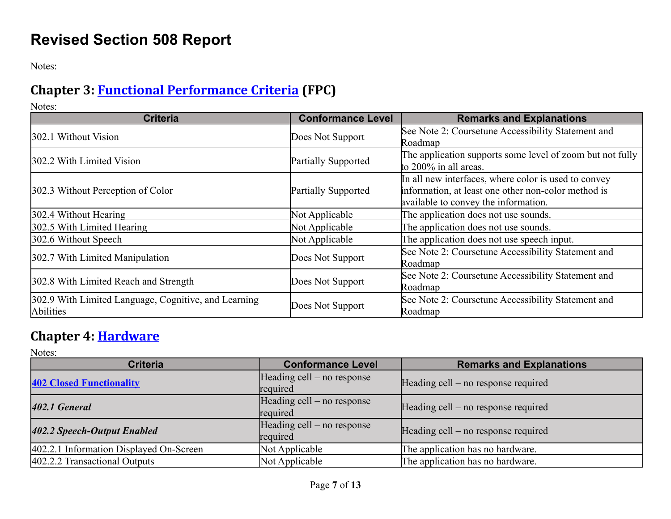## **Revised Section 508 Report**

Notes:

## **Chapter 3: Functional [Performance](https://www.access-board.gov/ict/#chapter-3-functional-performance-criteria) Criteria (FPC)**

Notes:

| <b>Criteria</b>                                                   | <b>Conformance Level</b>   | <b>Remarks and Explanations</b>                                                                                                                     |
|-------------------------------------------------------------------|----------------------------|-----------------------------------------------------------------------------------------------------------------------------------------------------|
| 302.1 Without Vision                                              | Does Not Support           | See Note 2: Coursetune Accessibility Statement and<br>Roadmap                                                                                       |
| 302.2 With Limited Vision                                         | <b>Partially Supported</b> | The application supports some level of zoom but not fully<br>to 200% in all areas.                                                                  |
| 302.3 Without Perception of Color                                 | <b>Partially Supported</b> | In all new interfaces, where color is used to convey<br>information, at least one other non-color method is<br>available to convey the information. |
| 302.4 Without Hearing                                             | Not Applicable             | The application does not use sounds.                                                                                                                |
| 302.5 With Limited Hearing                                        | Not Applicable             | The application does not use sounds.                                                                                                                |
| 302.6 Without Speech                                              | Not Applicable             | The application does not use speech input.                                                                                                          |
| 302.7 With Limited Manipulation                                   | Does Not Support           | See Note 2: Coursetune Accessibility Statement and<br>Roadmap                                                                                       |
| 302.8 With Limited Reach and Strength                             | Does Not Support           | See Note 2: Coursetune Accessibility Statement and<br>Roadmap                                                                                       |
| 302.9 With Limited Language, Cognitive, and Learning<br>Abilities | Does Not Support           | See Note 2: Coursetune Accessibility Statement and<br>Roadmap                                                                                       |

#### **Chapter 4: [Hardware](https://www.access-board.gov/ict/#chapter-4-hardware)**

Notes:

| <b>Criteria</b>                         | <b>Conformance Level</b>               | <b>Remarks and Explanations</b>     |
|-----------------------------------------|----------------------------------------|-------------------------------------|
| <b>402 Closed Functionality</b>         | Heading cell – no response<br>required | Heading cell – no response required |
| 402.1 General                           | Heading cell – no response<br>required | Heading cell – no response required |
| 402.2 Speech-Output Enabled             | Heading cell – no response<br>required | Heading cell – no response required |
| 402.2.1 Information Displayed On-Screen | Not Applicable                         | The application has no hardware.    |
| 402.2.2 Transactional Outputs           | Not Applicable                         | The application has no hardware.    |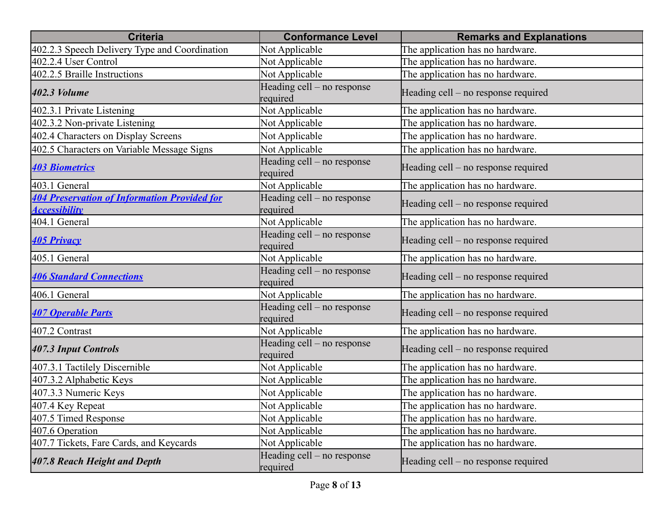| <b>Criteria</b>                                                             | <b>Conformance Level</b>               | <b>Remarks and Explanations</b>     |
|-----------------------------------------------------------------------------|----------------------------------------|-------------------------------------|
| 402.2.3 Speech Delivery Type and Coordination                               | Not Applicable                         | The application has no hardware.    |
| 402.2.4 User Control                                                        | Not Applicable                         | The application has no hardware.    |
| 402.2.5 Braille Instructions                                                | Not Applicable                         | The application has no hardware.    |
| 402.3 Volume                                                                | Heading cell – no response<br>required | Heading cell – no response required |
| 402.3.1 Private Listening                                                   | Not Applicable                         | The application has no hardware.    |
| 402.3.2 Non-private Listening                                               | Not Applicable                         | The application has no hardware.    |
| 402.4 Characters on Display Screens                                         | Not Applicable                         | The application has no hardware.    |
| 402.5 Characters on Variable Message Signs                                  | Not Applicable                         | The application has no hardware.    |
| <b>403 Biometrics</b>                                                       | Heading cell – no response<br>required | Heading cell - no response required |
| 403.1 General                                                               | Not Applicable                         | The application has no hardware.    |
| <b>404 Preservation of Information Provided for</b><br><b>Accessibility</b> | Heading cell – no response<br>required | Heading cell – no response required |
| 404.1 General                                                               | Not Applicable                         | The application has no hardware.    |
| <b>405 Privacy</b>                                                          | Heading cell – no response<br>required | Heading cell – no response required |
| 405.1 General                                                               | Not Applicable                         | The application has no hardware.    |
| <b>406 Standard Connections</b>                                             | Heading cell – no response<br>required | Heading cell – no response required |
| 406.1 General                                                               | Not Applicable                         | The application has no hardware.    |
| <b>407 Operable Parts</b>                                                   | Heading cell – no response<br>required | Heading cell - no response required |
| 407.2 Contrast                                                              | Not Applicable                         | The application has no hardware.    |
| 407.3 Input Controls                                                        | Heading cell – no response<br>required | Heading cell – no response required |
| 407.3.1 Tactilely Discernible                                               | Not Applicable                         | The application has no hardware.    |
| 407.3.2 Alphabetic Keys                                                     | Not Applicable                         | The application has no hardware.    |
| 407.3.3 Numeric Keys                                                        | Not Applicable                         | The application has no hardware.    |
| 407.4 Key Repeat                                                            | Not Applicable                         | The application has no hardware.    |
| 407.5 Timed Response                                                        | Not Applicable                         | The application has no hardware.    |
| 407.6 Operation                                                             | Not Applicable                         | The application has no hardware.    |
| 407.7 Tickets, Fare Cards, and Keycards                                     | Not Applicable                         | The application has no hardware.    |
| 407.8 Reach Height and Depth                                                | Heading cell – no response<br>required | Heading cell – no response required |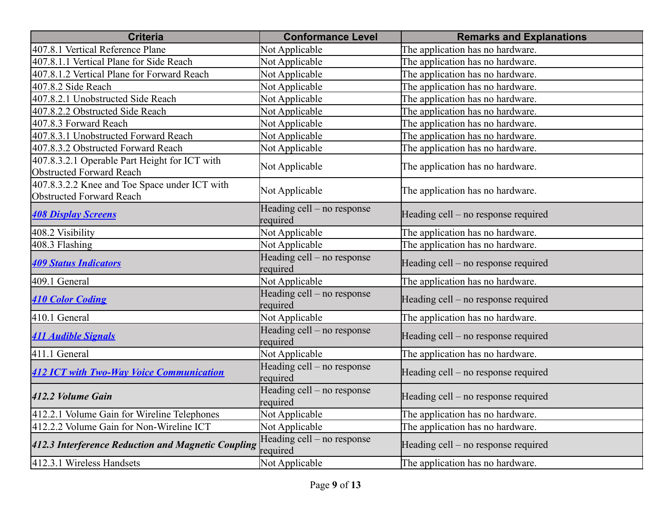| <b>Criteria</b>                                                                  | <b>Conformance Level</b>               | <b>Remarks and Explanations</b>     |
|----------------------------------------------------------------------------------|----------------------------------------|-------------------------------------|
| 407.8.1 Vertical Reference Plane                                                 | Not Applicable                         | The application has no hardware.    |
| 407.8.1.1 Vertical Plane for Side Reach                                          | Not Applicable                         | The application has no hardware.    |
| 407.8.1.2 Vertical Plane for Forward Reach                                       | Not Applicable                         | The application has no hardware.    |
| 407.8.2 Side Reach                                                               | Not Applicable                         | The application has no hardware.    |
| 407.8.2.1 Unobstructed Side Reach                                                | Not Applicable                         | The application has no hardware.    |
| 407.8.2.2 Obstructed Side Reach                                                  | Not Applicable                         | The application has no hardware.    |
| 407.8.3 Forward Reach                                                            | Not Applicable                         | The application has no hardware.    |
| 407.8.3.1 Unobstructed Forward Reach                                             | Not Applicable                         | The application has no hardware.    |
| 407.8.3.2 Obstructed Forward Reach                                               | Not Applicable                         | The application has no hardware.    |
| 407.8.3.2.1 Operable Part Height for ICT with<br><b>Obstructed Forward Reach</b> | Not Applicable                         | The application has no hardware.    |
| 407.8.3.2.2 Knee and Toe Space under ICT with<br><b>Obstructed Forward Reach</b> | Not Applicable                         | The application has no hardware.    |
| <b>408 Display Screens</b>                                                       | Heading cell - no response<br>required | Heading cell – no response required |
| 408.2 Visibility                                                                 | Not Applicable                         | The application has no hardware.    |
| 408.3 Flashing                                                                   | Not Applicable                         | The application has no hardware.    |
| <b>409 Status Indicators</b>                                                     | Heading cell - no response<br>required | Heading cell - no response required |
| 409.1 General                                                                    | Not Applicable                         | The application has no hardware.    |
| <b>410 Color Coding</b>                                                          | Heading cell – no response<br>required | Heading cell – no response required |
| 410.1 General                                                                    | Not Applicable                         | The application has no hardware.    |
| <b>411 Audible Signals</b>                                                       | Heading cell – no response<br>required | Heading cell – no response required |
| 411.1 General                                                                    | Not Applicable                         | The application has no hardware.    |
| <b>412 ICT with Two-Way Voice Communication</b>                                  | Heading cell – no response<br>required | Heading cell – no response required |
| 412.2 Volume Gain                                                                | Heading cell – no response<br>required | Heading cell – no response required |
| 412.2.1 Volume Gain for Wireline Telephones                                      | Not Applicable                         | The application has no hardware.    |
| 412.2.2 Volume Gain for Non-Wireline ICT                                         | Not Applicable                         | The application has no hardware.    |
| 412.3 Interference Reduction and Magnetic Coupling                               | Heading cell – no response<br>required | Heading cell – no response required |
| 412.3.1 Wireless Handsets                                                        | Not Applicable                         | The application has no hardware.    |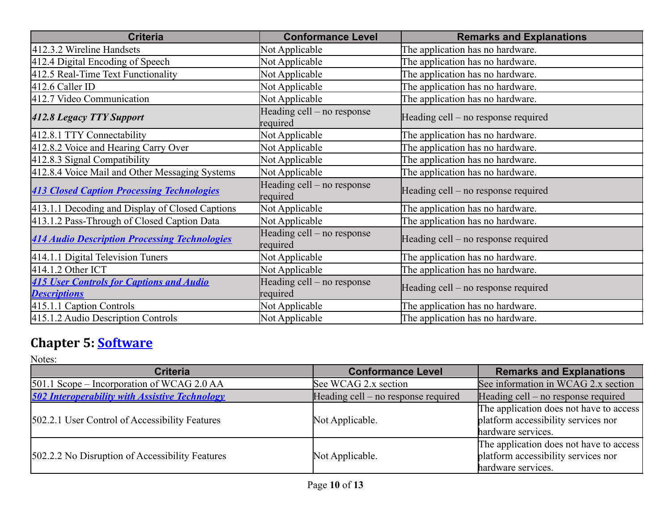| <b>Criteria</b>                                                        | <b>Conformance Level</b>               | <b>Remarks and Explanations</b>     |
|------------------------------------------------------------------------|----------------------------------------|-------------------------------------|
| 412.3.2 Wireline Handsets                                              | Not Applicable                         | The application has no hardware.    |
| 412.4 Digital Encoding of Speech                                       | Not Applicable                         | The application has no hardware.    |
| 412.5 Real-Time Text Functionality                                     | Not Applicable                         | The application has no hardware.    |
| $412.6$ Caller ID                                                      | Not Applicable                         | The application has no hardware.    |
| 412.7 Video Communication                                              | Not Applicable                         | The application has no hardware.    |
| 412.8 Legacy TTY Support                                               | Heading cell – no response<br>required | Heading cell – no response required |
| 412.8.1 TTY Connectability                                             | Not Applicable                         | The application has no hardware.    |
| 412.8.2 Voice and Hearing Carry Over                                   | Not Applicable                         | The application has no hardware.    |
| 412.8.3 Signal Compatibility                                           | Not Applicable                         | The application has no hardware.    |
| 412.8.4 Voice Mail and Other Messaging Systems                         | Not Applicable                         | The application has no hardware.    |
| <b>413 Closed Caption Processing Technologies</b>                      | Heading cell – no response<br>required | Heading cell – no response required |
| 413.1.1 Decoding and Display of Closed Captions                        | Not Applicable                         | The application has no hardware.    |
| 413.1.2 Pass-Through of Closed Caption Data                            | Not Applicable                         | The application has no hardware.    |
| <b>414 Audio Description Processing Technologies</b>                   | Heading cell – no response<br>required | Heading cell – no response required |
| 414.1.1 Digital Television Tuners                                      | Not Applicable                         | The application has no hardware.    |
| 414.1.2 Other ICT                                                      | Not Applicable                         | The application has no hardware.    |
| <b>415 User Controls for Captions and Audio</b><br><b>Descriptions</b> | Heading cell – no response<br>required | Heading cell – no response required |
| 415.1.1 Caption Controls                                               | Not Applicable                         | The application has no hardware.    |
| 415.1.2 Audio Description Controls                                     | Not Applicable                         | The application has no hardware.    |

## **Chapter 5: [Software](https://www.access-board.gov/ict/#chapter-5-software)**

Notes:

| <b>Criteria</b>                                       | <b>Conformance Level</b>            | <b>Remarks and Explanations</b>                                                                      |
|-------------------------------------------------------|-------------------------------------|------------------------------------------------------------------------------------------------------|
| [501.1 Scope – Incorporation of WCAG 2.0 AA           | See WCAG 2.x section                | See information in WCAG 2.x section                                                                  |
| <b>502 Interoperability with Assistive Technology</b> | Heading cell – no response required | $[Heading cell - no response required]$                                                              |
| 502.2.1 User Control of Accessibility Features        | Not Applicable.                     | The application does not have to access<br>platform accessibility services nor<br>hardware services. |
| 502.2.2 No Disruption of Accessibility Features       | Not Applicable.                     | The application does not have to access<br>platform accessibility services nor<br>hardware services. |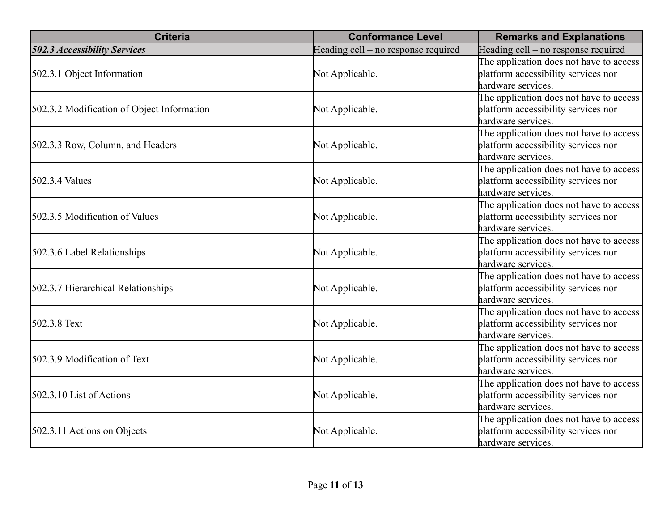| <b>Criteria</b>                            | <b>Conformance Level</b>            | <b>Remarks and Explanations</b>                                                                      |
|--------------------------------------------|-------------------------------------|------------------------------------------------------------------------------------------------------|
| <b>502.3 Accessibility Services</b>        | Heading cell - no response required | Heading cell – no response required                                                                  |
| 502.3.1 Object Information                 | Not Applicable.                     | The application does not have to access<br>platform accessibility services nor<br>hardware services. |
| 502.3.2 Modification of Object Information | Not Applicable.                     | The application does not have to access<br>platform accessibility services nor<br>hardware services. |
| 502.3.3 Row, Column, and Headers           | Not Applicable.                     | The application does not have to access<br>platform accessibility services nor<br>hardware services. |
| 502.3.4 Values                             | Not Applicable.                     | The application does not have to access<br>platform accessibility services nor<br>hardware services. |
| 502.3.5 Modification of Values             | Not Applicable.                     | The application does not have to access<br>platform accessibility services nor<br>hardware services. |
| 502.3.6 Label Relationships                | Not Applicable.                     | The application does not have to access<br>platform accessibility services nor<br>hardware services. |
| 502.3.7 Hierarchical Relationships         | Not Applicable.                     | The application does not have to access<br>platform accessibility services nor<br>hardware services. |
| 502.3.8 Text                               | Not Applicable.                     | The application does not have to access<br>platform accessibility services nor<br>hardware services. |
| 502.3.9 Modification of Text               | Not Applicable.                     | The application does not have to access<br>platform accessibility services nor<br>hardware services. |
| $502.3.10$ List of Actions                 | Not Applicable.                     | The application does not have to access<br>platform accessibility services nor<br>hardware services. |
| 502.3.11 Actions on Objects                | Not Applicable.                     | The application does not have to access<br>platform accessibility services nor<br>hardware services. |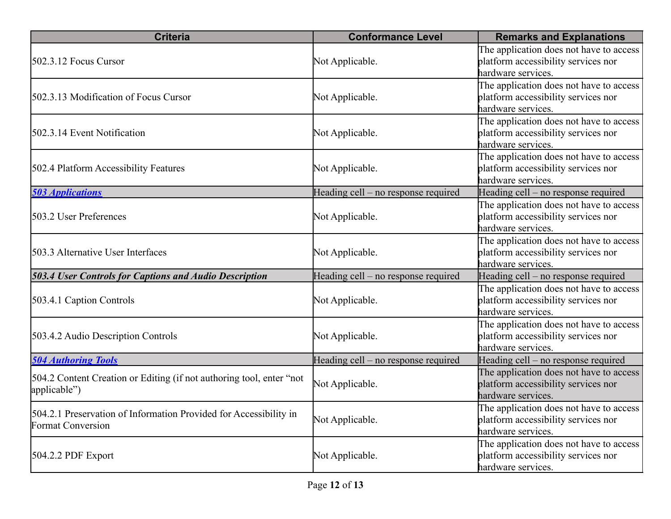| <b>Criteria</b>                                                                               | <b>Conformance Level</b>            | <b>Remarks and Explanations</b>                                                                      |
|-----------------------------------------------------------------------------------------------|-------------------------------------|------------------------------------------------------------------------------------------------------|
| $502.3.12$ Focus Cursor                                                                       | Not Applicable.                     | The application does not have to access<br>platform accessibility services nor<br>hardware services. |
| 502.3.13 Modification of Focus Cursor                                                         | Not Applicable.                     | The application does not have to access<br>platform accessibility services nor<br>hardware services. |
| 502.3.14 Event Notification                                                                   | Not Applicable.                     | The application does not have to access<br>platform accessibility services nor<br>hardware services. |
| 502.4 Platform Accessibility Features                                                         | Not Applicable.                     | The application does not have to access<br>platform accessibility services nor<br>hardware services. |
| <b>503 Applications</b>                                                                       | Heading cell – no response required | Heading cell – no response required                                                                  |
| 503.2 User Preferences                                                                        | Not Applicable.                     | The application does not have to access<br>platform accessibility services nor<br>hardware services. |
| 503.3 Alternative User Interfaces                                                             | Not Applicable.                     | The application does not have to access<br>platform accessibility services nor<br>hardware services. |
| <b>503.4 User Controls for Captions and Audio Description</b>                                 | Heading cell – no response required | Heading cell – no response required                                                                  |
| 503.4.1 Caption Controls                                                                      | Not Applicable.                     | The application does not have to access<br>platform accessibility services nor<br>hardware services. |
| 503.4.2 Audio Description Controls                                                            | Not Applicable.                     | The application does not have to access<br>platform accessibility services nor<br>hardware services. |
| <b>504 Authoring Tools</b>                                                                    | Heading cell – no response required | Heading cell – no response required                                                                  |
| 504.2 Content Creation or Editing (if not authoring tool, enter "not"<br>applicable")         | Not Applicable.                     | The application does not have to access<br>platform accessibility services nor<br>hardware services. |
| 504.2.1 Preservation of Information Provided for Accessibility in<br><b>Format Conversion</b> | Not Applicable.                     | The application does not have to access<br>platform accessibility services nor<br>hardware services. |
| $504.2.2$ PDF Export                                                                          | Not Applicable.                     | The application does not have to access<br>platform accessibility services nor<br>hardware services. |